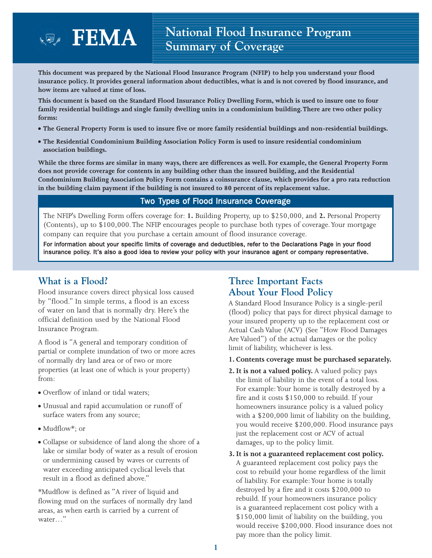**This document was prepared by the National Flood Insurance Program (NFIP) to help you understand your flood insurance policy. It provides general information about deductibles, what is and is not covered by flood insurance, and how items are valued at time of loss.** 

**This document is based on the Standard Flood Insurance Policy Dwelling Form, which is used to insure one to four family residential buildings and single family dwelling units in a condominium building. There are two other policy forms:**

- **The General Property Form is used to insure five or more family residential buildings and non-residential buildings.**
- **The Residential Condominium Building Association Policy Form is used to insure residential condominium association buildings.**

**While the three forms are similar in many ways, there are differences as well. For example, the General Property Form does not provide coverage for contents in any building other than the insured building, and the Residential Condominium Building Association Policy Form contains a coinsurance clause, which provides for a pro rata reduction in the building claim payment if the building is not insured to 80 percent of its replacement value.**

### Two Types of Flood Insurance Coverage

The NFIP's Dwelling Form offers coverage for: **1.** Building Property, up to \$250,000, and **2.** Personal Property (Contents), up to \$100,000. The NFIP encourages people to purchase both types of coverage.Your mortgage company can require that you purchase a certain amount of flood insurance coverage.

For information about your specific limits of coverage and deductibles, refer to the Declarations Page in your flood insurance policy. It's also a good idea to review your policy with your insurance agent or company representative.

## **What is a Flood?**

Flood insurance covers direct physical loss caused by "flood." In simple terms, a flood is an excess of water on land that is normally dry. Here's the official definition used by the National Flood Insurance Program.

A flood is "A general and temporary condition of partial or complete inundation of two or more acres of normally dry land area or of two or more properties (at least one of which is your property) from:

- Overflow of inland or tidal waters;
- Unusual and rapid accumulation or runoff of surface waters from any source;
- Mudflow\*; or
- Collapse or subsidence of land along the shore of a lake or similar body of water as a result of erosion or undermining caused by waves or currents of water exceeding anticipated cyclical levels that result in a flood as defined above."

\*Mudflow is defined as "A river of liquid and flowing mud on the surfaces of normally dry land areas, as when earth is carried by a current of water…"

# **Three Important Facts About Your Flood Policy**

A Standard Flood Insurance Policy is a single-peril (flood) policy that pays for direct physical damage to your insured property up to the replacement cost or Actual Cash Value (ACV) (See "How Flood Damages Are Valued") of the actual damages or the policy limit of liability, whichever is less.

- **1. Contents coverage must be purchased separately.**
- **2. It is not a valued policy.** A valued policy pays the limit of liability in the event of a total loss. For example:Your home is totally destroyed by a fire and it costs \$150,000 to rebuild. If your homeowners insurance policy is a valued policy with a \$200,000 limit of liability on the building, you would receive \$200,000. Flood insurance pays just the replacement cost or ACV of actual damages, up to the policy limit.
- **3. It is not a guaranteed replacement cost policy.** A guaranteed replacement cost policy pays the cost to rebuild your home regardless of the limit of liability. For example:Your home is totally destroyed by a fire and it costs \$200,000 to rebuild. If your homeowners insurance policy is a guaranteed replacement cost policy with a \$150,000 limit of liability on the building, you would receive \$200,000. Flood insurance does not pay more than the policy limit.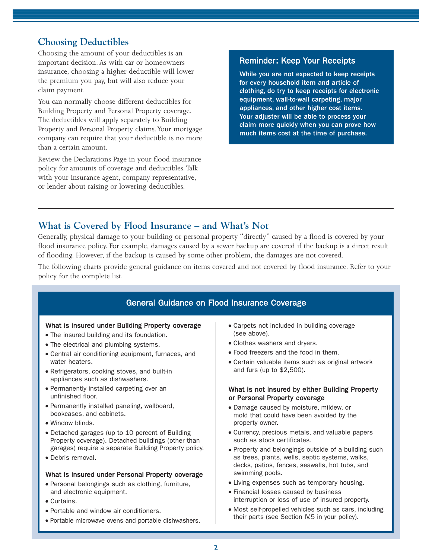## **Choosing Deductibles**

Choosing the amount of your deductibles is an important decision. As with car or homeowners insurance, choosing a higher deductible will lower the premium you pay, but will also reduce your claim payment.

You can normally choose different deductibles for Building Property and Personal Property coverage. The deductibles will apply separately to Building Property and Personal Property claims.Your mortgage company can require that your deductible is no more than a certain amount.

Review the Declarations Page in your flood insurance policy for amounts of coverage and deductibles.Talk with your insurance agent, company representative, or lender about raising or lowering deductibles.

### Reminder: Keep Your Receipts

While you are not expected to keep receipts for every household item and article of clothing, do try to keep receipts for electronic equipment, wall-to-wall carpeting, major appliances, and other higher cost items. Your adjuster will be able to process your claim more quickly when you can prove how much items cost at the time of purchase.

## **What is Covered by Flood Insurance – and What's Not**

Generally, physical damage to your building or personal property "directly" caused by a flood is covered by your flood insurance policy. For example, damages caused by a sewer backup are covered if the backup is a direct result of flooding. However, if the backup is caused by some other problem, the damages are not covered.

The following charts provide general guidance on items covered and not covered by flood insurance. Refer to your policy for the complete list.

### General Guidance on Flood Insurance Coverage

### What is insured under Building Property coverage

- The insured building and its foundation.
- The electrical and plumbing systems.
- Central air conditioning equipment, furnaces, and water heaters.
- Refrigerators, cooking stoves, and built-in appliances such as dishwashers.
- Permanently installed carpeting over an unfinished floor.
- Permanently installed paneling, wallboard, bookcases, and cabinets.
- Window blinds.
- Detached garages (up to 10 percent of Building Property coverage). Detached buildings (other than garages) require a separate Building Property policy.
- Debris removal.

### What is insured under Personal Property coverage

- Personal belongings such as clothing, furniture, and electronic equipment.
- Curtains.
- Portable and window air conditioners.
- Portable microwave ovens and portable dishwashers.
- Carpets not included in building coverage (see above).
- Clothes washers and dryers.
- Food freezers and the food in them.
- Certain valuable items such as original artwork and furs (up to \$2,500).

### What is not insured by either Building Property or Personal Property coverage

- Damage caused by moisture, mildew, or mold that could have been avoided by the property owner.
- Currency, precious metals, and valuable papers such as stock certificates.
- Property and belongings outside of a building such as trees, plants, wells, septic systems, walks, decks, patios, fences, seawalls, hot tubs, and swimming pools.
- Living expenses such as temporary housing.
- Financial losses caused by business interruption or loss of use of insured property.
- Most self-propelled vehicles such as cars, including their parts (see Section IV.5 in your policy).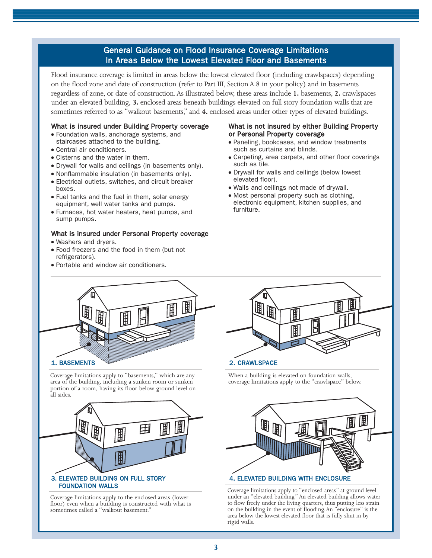### General Guidance on Flood Insurance Coverage Limitations In Areas Below the Lowest Elevated Floor and Basements

Flood insurance coverage is limited in areas below the lowest elevated floor (including crawlspaces) depending on the flood zone and date of construction (refer to Part III, Section A.8 in your policy) and in basements regardless of zone, or date of construction.As illustrated below, these areas include **1.** basements, **2.** crawlspaces under an elevated building, **3.** enclosed areas beneath buildings elevated on full story foundation walls that are sometimes referred to as "walkout basements," and **4.** enclosed areas under other types of elevated buildings.

#### What is insured under Building Property coverage

- Foundation walls, anchorage systems, and staircases attached to the building.
- Central air conditioners.
- Cisterns and the water in them.
- Drywall for walls and ceilings (in basements only).
- Nonflammable insulation (in basements only).
- Electrical outlets, switches, and circuit breaker boxes.
- Fuel tanks and the fuel in them, solar energy equipment, well water tanks and pumps.
- Furnaces, hot water heaters, heat pumps, and sump pumps.

#### What is insured under Personal Property coverage

- Washers and dryers.
- Food freezers and the food in them (but not refrigerators).
- Portable and window air conditioners.

### What is not insured by either Building Property or Personal Property coverage

- Paneling, bookcases, and window treatments such as curtains and blinds.
- Carpeting, area carpets, and other floor coverings such as tile.
- Drywall for walls and ceilings (below lowest elevated floor).
- Walls and ceilings not made of drywall.
- Most personal property such as clothing. electronic equipment, kitchen supplies, and furniture.



Coverage limitations apply to "basements," which are any area of the building, including a sunken room or sunken portion of a room, having its floor below ground level on all sides.



Coverage limitations apply to the enclosed areas (lower floor) even when a building is constructed with what is sometimes called a "walkout basement."



When a building is elevated on foundation walls, coverage limitations apply to the "crawlspace" below.



Coverage limitations apply to "enclosed areas" at ground level under an "elevated building." An elevated building allows water to flow freely under the living quarters, thus putting less strain on the building in the event of flooding. An "enclosure" is the area below the lowest elevated floor that is fully shut in by rigid walls.